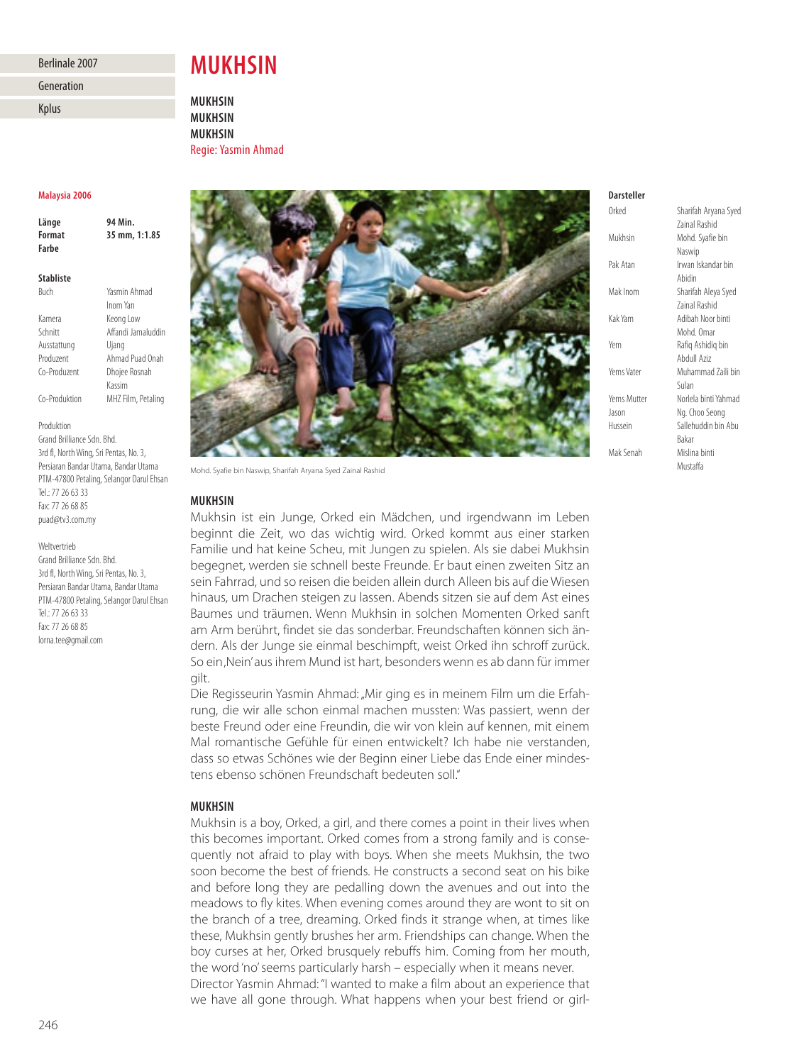# Berlinale 2007

# Generation

Kplus

### **Malaysia 2006** 94 Min. **Länge 94 Min. Farhe**

| <b>Stabliste</b> |                    |
|------------------|--------------------|
| Buch             | Yasmin Ahmad       |
|                  | Inom Yan           |
| Kamera           | Keong Low          |
| Schnitt          | Affandi Jamaluddin |
| Ausstattung      | Ujang              |
| Produzent        | Ahmad Puad Onah    |
| Co-Produzent     | Dhojee Rosnah      |
|                  |                    |

Produktion

Grand Brilliance Sdn. Bhd. 3rd fl, North Wing, Sri Pentas, No. 3, Persiaran Bandar Utama, Bandar Utama PTM-47800 Petaling, Selangor Darul Ehsan Tel.: 77 26 63 33 Fax: 77 26 68 85 puad@tv3.com.my

Kassim Co-Produktion MHZ Film, Petaling

### Weltvertrieb

Grand Brilliance Sdn. Bhd. 3rd fl, North Wing, Sri Pentas, No. 3, Persiaran Bandar Utama, Bandar Utama PTM-47800 Petaling, Selangor Darul Ehsan Tel.: 77 26 63 33 Fax: 77 26 68 85 lorna.tee@gmail.com

# **MUKHSIN**

**MUKHSIN MUKHSIN MUKHSIN** Regie: Yasmin Ahmad



Mohd. Syafie bin Naswip, Sharifah Aryana Syed Zainal Rashid

### **MUKHSIN**

**MUKHSIN** Mukhsin ist ein Junge, Orked ein Mädchen, und irgendwann im Leben beginnt die Zeit, wo das wichtig wird. Orked kommt aus einer starken Familie und hat keine Scheu, mit Jungen zu spielen. Als sie dabei Mukhsin begegnet, werden sie schnell beste Freunde. Er baut einen zweiten Sitz an sein Fahrrad, und so reisen die beiden allein durch Alleen bis auf die Wiesen hinaus, um Drachen steigen zu lassen. Abends sitzen sie auf dem Ast eines Baumes und träumen. Wenn Mukhsin in solchen Momenten Orked sanft am Arm berührt, findet sie das sonderbar. Freundschaften können sich ändern. Als der Junge sie einmal beschimpft, weist Orked ihn schroff zurück. So ein, Nein' aus ihrem Mund ist hart, besonders wenn es ab dann für immer gilt.

Die Regisseurin Yasmin Ahmad: "Mir ging es in meinem Film um die Erfahrung, die wir alle schon einmal machen mussten: Was passiert, wenn der beste Freund oder eine Freundin, die wir von klein auf kennen, mit einem Mal romantische Gefühle für einen entwickelt? Ich habe nie verstanden, dass so etwas Schönes wie der Beginn einer Liebe das Ende einer mindestens ebenso schönen Freundschaft bedeuten soll."

# **MUKHSIN**

**MUKHSIN** Mukhsin is a boy, Orked, a girl, and there comes a point in their lives when this becomes important. Orked comes from a strong family and is consequently not afraid to play with boys. When she meets Mukhsin, the two soon become the best of friends. He constructs a second seat on his bike and before long they are pedalling down the avenues and out into the meadows to fly kites. When evening comes around they are wont to sit on the branch of a tree, dreaming. Orked finds it strange when, at times like these, Mukhsin gently brushes her arm. Friendships can change. When the boy curses at her, Orked brusquely rebuffs him. Coming from her mouth, the word 'no' seems particularly harsh – especially when it means never. Director Yasmin Ahmad: "I wanted to make a film about an experience that we have all gone through. What happens when your best friend or girl-

### **Darsteller** Orked

Sharifah Aryana Syed Zainal Rashid Mukhsin Mohd. Syafie bin Naswip Pak Atan Irwan Iskandar bin Abidin Mak Inom Sharifah Aleya Syed Zainal Rashid Kak Yam Adibah Noor binti Mohd. Omar Yem Rafiq Ashidiq bin Abdull Aziz Yems Vater Muhammad Zaili bin Sulan Yems Mutter Norlela binti Yahmad Jason Ng. Choo Seong Hussein Sallehuddin bin Abu Bakar<br>Mislina hinti Mak Senah Mustaffa